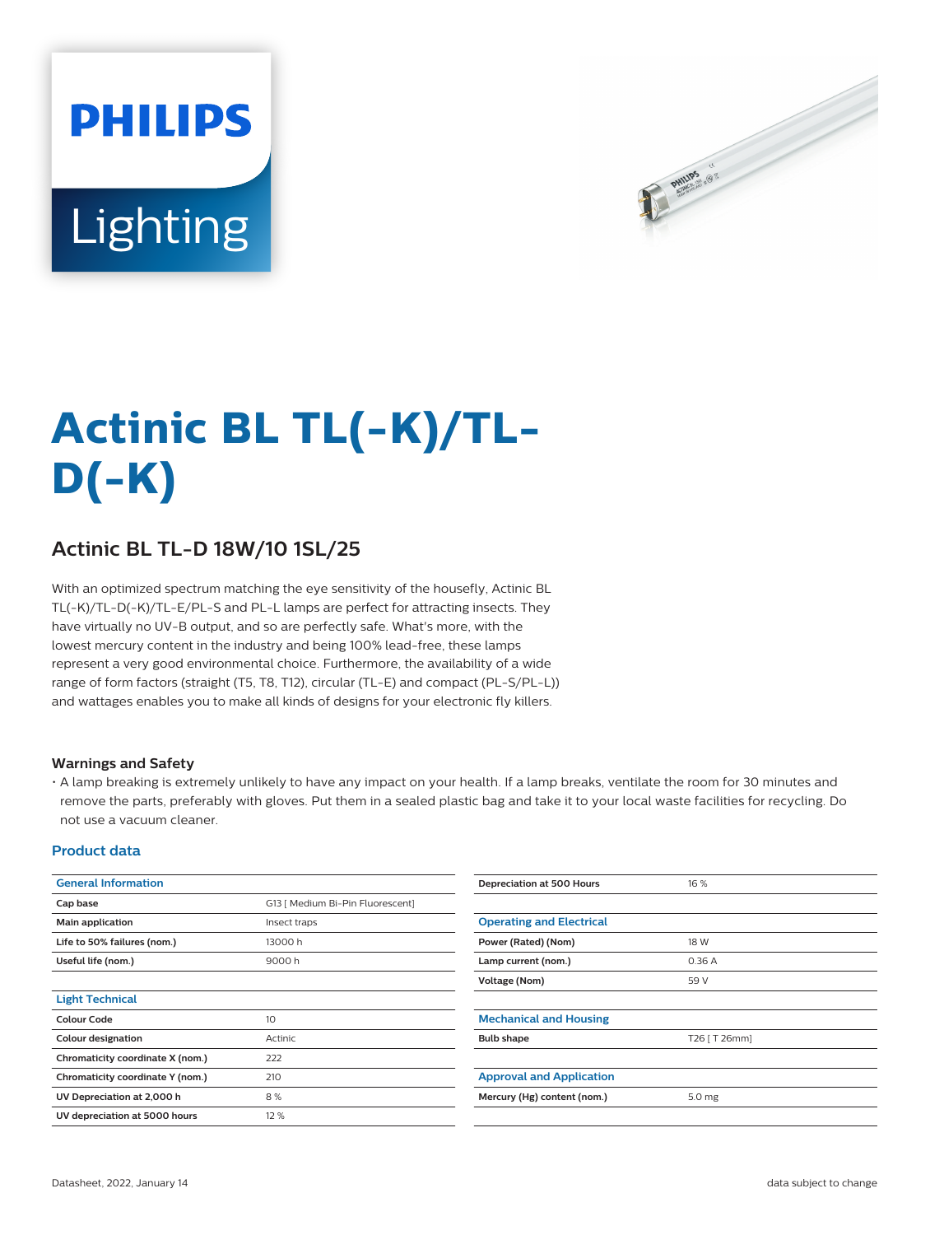# **PHILIPS** Lighting



# **Actinic BL TL(-K)/TL-D(-K)**

## **Actinic BL TL-D 18W/10 1SL/25**

With an optimized spectrum matching the eye sensitivity of the housefly, Actinic BL TL(-K)/TL-D(-K)/TL-E/PL-S and PL-L lamps are perfect for attracting insects. They have virtually no UV-B output, and so are perfectly safe. What's more, with the lowest mercury content in the industry and being 100% lead-free, these lamps represent a very good environmental choice. Furthermore, the availability of a wide range of form factors (straight (T5, T8, T12), circular (TL-E) and compact (PL-S/PL-L)) and wattages enables you to make all kinds of designs for your electronic fly killers.

#### **Warnings and Safety**

• A lamp breaking is extremely unlikely to have any impact on your health. If a lamp breaks, ventilate the room for 30 minutes and remove the parts, preferably with gloves. Put them in a sealed plastic bag and take it to your local waste facilities for recycling. Do not use a vacuum cleaner.

#### **Product data**

| <b>General Information</b>       |                                  | Depreciation at 500 Hours       | 16 %              |  |
|----------------------------------|----------------------------------|---------------------------------|-------------------|--|
| Cap base                         | G13   Medium Bi-Pin Fluorescent] |                                 |                   |  |
| Main application                 | Insect traps                     | <b>Operating and Electrical</b> |                   |  |
| Life to 50% failures (nom.)      | 13000h                           | Power (Rated) (Nom)             | 18 W              |  |
| Useful life (nom.)               | 9000h                            | Lamp current (nom.)             | 0.36A             |  |
|                                  |                                  | Voltage (Nom)                   | 59 V              |  |
| <b>Light Technical</b>           |                                  |                                 |                   |  |
| <b>Colour Code</b>               | 10                               | <b>Mechanical and Housing</b>   |                   |  |
| Colour designation               | Actinic                          | <b>Bulb shape</b>               | T26 [ T 26mm]     |  |
| Chromaticity coordinate X (nom.) | 222                              |                                 |                   |  |
| Chromaticity coordinate Y (nom.) | 210                              | <b>Approval and Application</b> |                   |  |
| UV Depreciation at 2,000 h       | 8%                               | Mercury (Hg) content (nom.)     | 5.0 <sub>mg</sub> |  |
| UV depreciation at 5000 hours    | 12 %                             |                                 |                   |  |
|                                  |                                  |                                 |                   |  |